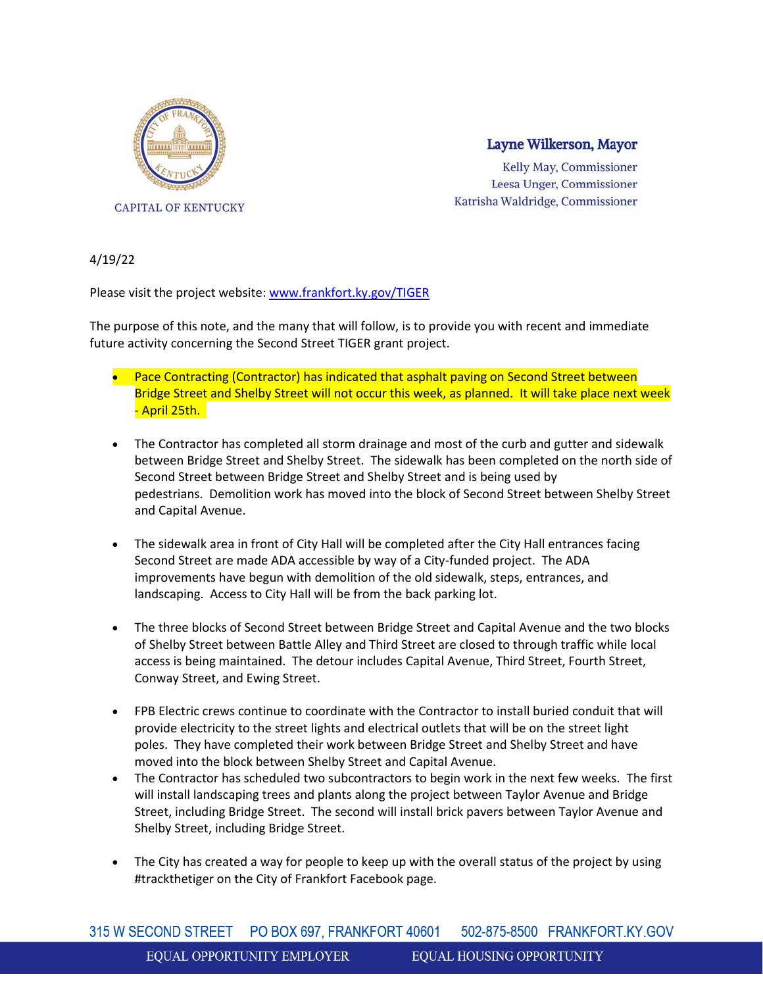

## Layne Wilkerson, Mayor

Kelly May, Commissioner Leesa Unger, Commissioner Katrisha Waldridge, Commissioner

4/19/22

Please visit the project website: [www.frankfort.ky.gov/TIGER](http://www.frankfort.ky.gov/TIGER)

The purpose of this note, and the many that will follow, is to provide you with recent and immediate future activity concerning the Second Street TIGER grant project.

- Pace Contracting (Contractor) has indicated that asphalt paving on Second Street between Bridge Street and Shelby Street will not occur this week, as planned. It will take place next week - April 25th.
- The Contractor has completed all storm drainage and most of the curb and gutter and sidewalk between Bridge Street and Shelby Street. The sidewalk has been completed on the north side of Second Street between Bridge Street and Shelby Street and is being used by pedestrians. Demolition work has moved into the block of Second Street between Shelby Street and Capital Avenue.
- The sidewalk area in front of City Hall will be completed after the City Hall entrances facing Second Street are made ADA accessible by way of a City-funded project. The ADA improvements have begun with demolition of the old sidewalk, steps, entrances, and landscaping. Access to City Hall will be from the back parking lot.
- The three blocks of Second Street between Bridge Street and Capital Avenue and the two blocks of Shelby Street between Battle Alley and Third Street are closed to through traffic while local access is being maintained. The detour includes Capital Avenue, Third Street, Fourth Street, Conway Street, and Ewing Street.
- FPB Electric crews continue to coordinate with the Contractor to install buried conduit that will provide electricity to the street lights and electrical outlets that will be on the street light poles. They have completed their work between Bridge Street and Shelby Street and have moved into the block between Shelby Street and Capital Avenue.
- The Contractor has scheduled two subcontractors to begin work in the next few weeks. The first will install landscaping trees and plants along the project between Taylor Avenue and Bridge Street, including Bridge Street. The second will install brick pavers between Taylor Avenue and Shelby Street, including Bridge Street.
- The City has created a way for people to keep up with the overall status of the project by using #trackthetiger on the City of Frankfort Facebook page.